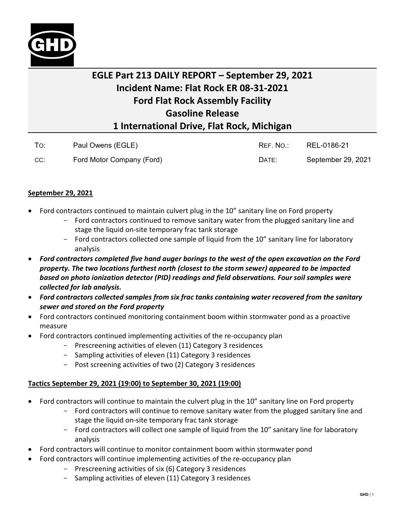

## **EGLE Part 213 DAILY REPORT – September 29, 2021 Incident Name: Flat Rock ER 08-31-2021 Ford Flat Rock Assembly Facility Gasoline Release 1 International Drive, Flat Rock, Michigan**

|     | Paul Owens (EGLE)         | REF. NO.: | REL-0186-21        |
|-----|---------------------------|-----------|--------------------|
| CC: | Ford Motor Company (Ford) | DATE:     | September 29, 2021 |

## **September 29, 2021**

- Ford contractors continued to maintain culvert plug in the 10" sanitary line on Ford property
	- Ford contractors continued to remove sanitary water from the plugged sanitary line and stage the liquid on-site temporary frac tank storage
	- Ford contractors collected one sample of liquid from the 10" sanitary line for laboratory analysis
- *Ford contractors completed five hand auger borings to the west of the open excavation on the Ford property. The two locations furthest north (closest to the storm sewer) appeared to be impacted based on photo ionization detector (PID) readings and field observations. Four soil samples were collected for lab analysis.*
- *Ford contractors collected samples from six frac tanks containing water recovered from the sanitary sewer and stored on the Ford property*
- Ford contractors continued monitoring containment boom within stormwater pond as a proactive measure
- Ford contractors continued implementing activities of the re-occupancy plan
	- Prescreening activities of eleven (11) Category 3 residences
	- Sampling activities of eleven (11) Category 3 residences
	- Post screening activities of two (2) Category 3 residences

## **Tactics September 29, 2021 (19:00) to September 30, 2021 (19:00)**

- Ford contractors will continue to maintain the culvert plug in the 10" sanitary line on Ford property
	- Ford contractors will continue to remove sanitary water from the plugged sanitary line and stage the liquid on-site temporary frac tank storage
	- Ford contractors will collect one sample of liquid from the 10" sanitary line for laboratory analysis
- Ford contractors will continue to monitor containment boom within stormwater pond
- Ford contractors will continue implementing activities of the re-occupancy plan
	- Prescreening activities of six (6) Category 3 residences
	- Sampling activities of eleven (11) Category 3 residences